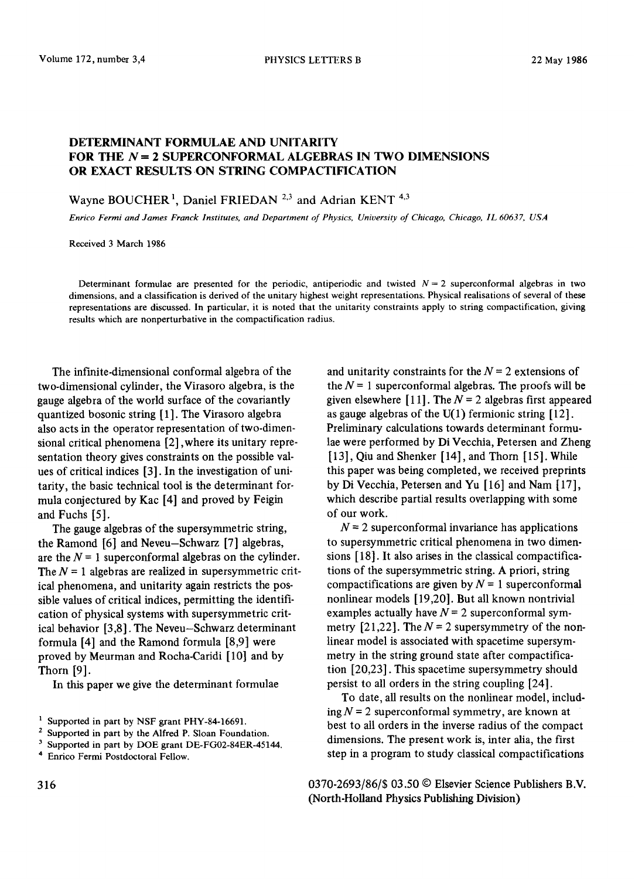## DETERMINANT FORMULAE AND UNITARITY FOR THE  $N=2$  SUPERCONFORMAL ALGEBRAS IN TWO DIMENSIONS OR EXACT RESULTS.ON STRING COMPACTIFICATION

Wayne BOUCHER 1, Daniel FRIEDAN 2.3 and Adrian *KENT* 4,3

*Enrico Fermi and James Franck Institutes, and Department of Physics, University of Chicago, Chicago, IL 60637, USA* 

Received 3 March 1986

Determinant formulae are presented for the periodic, antiperiodic and twisted  $N = 2$  superconformal algebras in two dimensions, and a classification is derived of the unitary highest weight representations. Physical realisations of several of these representations are discussed. In particular, it is noted that the unitarity constraints apply to string compactification, giving results which are nonperturbative in the compactification radius.

The inFinite-dimensional conformal algebra of the two-dimensional cylinder, the Virasoro algebra, is the gauge algebra of the world surface of the covariantly quantized bosonic string [1]. The Virasoro algebra also acts in the operator representation of two-dimensional critical phenomena [2], where its unitary representation theory gives constraints on the possible values of critical indices [3]. In the investigation of unitarity, the basic technical tool is the determinant formula conjectured by Kac [4] and proved by Feigin and Fuchs [5].

The gauge algebras of the supersymmetric string, the Ramond [6] and Neveu-Schwarz [7] algebras, are the  $N = 1$  superconformal algebras on the cylinder. The  $N = 1$  algebras are realized in supersymmetric critical phenomena, and unitarity again restricts the possible values of critical indices, permitting the identification of physical systems with supersymmetric critical behavior [3,8]. The Neveu-Schwarz determinant formula [4] and the Ramond formula [8,9] were proved by Meurman and Rocha-Caridi [10] and by Thorn [9].

In this paper we give the determinant formulae

and unitarity constraints for the  $N = 2$  extensions of the  $N = 1$  superconformal algebras. The proofs will be given elsewhere [11]. The  $N = 2$  algebras first appeared as gauge algebras of the  $U(1)$  fermionic string [12]. Preliminary calculations towards determinant formulae were performed by Di Vecchia, Petersen and Zheng [13], Qiu and Shenker [14], and Thorn [15]. While this paper was being completed, we received preprints by Di Vecchia, Petersen and Yu [16] and Nam [17], which describe partial results overlapping with some of our work.

 $N = 2$  superconformal invariance has applications to supersymmetric critical phenomena in two dimensions [ 18]. It also arises in the classical compactifications of the supersymmetric string. A priori, string compactifications are given by  $N = 1$  superconformal nonlinear models [19,20]. But all known nontrivial examples actually have  $N = 2$  superconformal symmetry [21,22]. The  $N = 2$  supersymmetry of the nonlinear model is associated with spacetime supersymmetry in the string ground state after compactification [20,23]. This spacetime supersymmetry should persist to all orders in the string coupling [24].

To date, all results on the nonlinear model, including  $N = 2$  superconformal symmetry, are known at best to all orders in the inverse radius of the compact dimensions. The present work is, inter alia, the first step in a program to study classical compactifications

0370-2693/86/\$ 03.50 © Elsevier Science Publishers B.V. (North-Holland Physics Publishing Division)

<sup>&</sup>lt;sup>1</sup> Supported in part by NSF grant PHY-84-16691.

<sup>2</sup> Supported in part by the Alfred P. Sloan Foundation.

<sup>3</sup> Supported in part by DOE grant DE-FGO2-84ER-45144.

<sup>4</sup> Enrico Fermi Postdoctoral Fellow.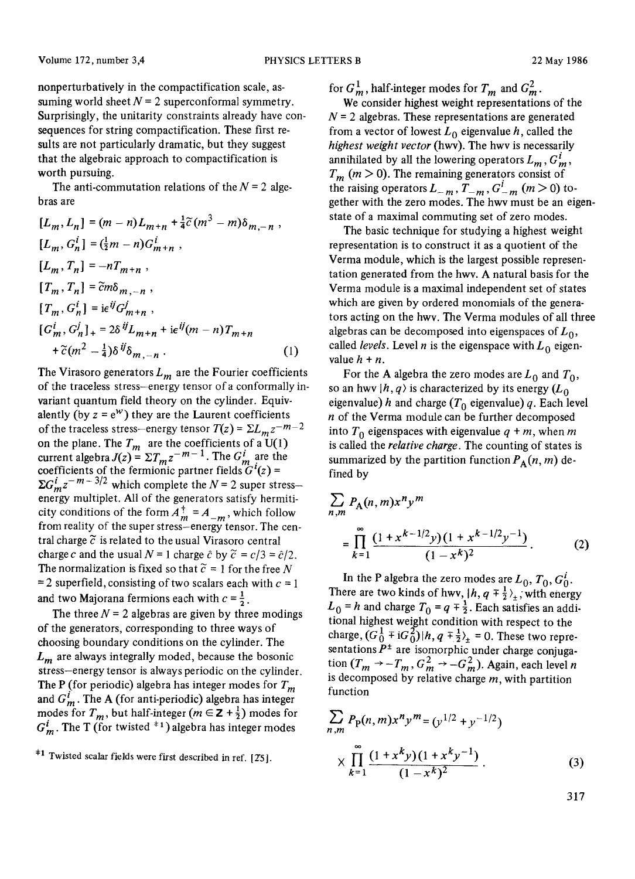nonperturbatively in the compactification scale, assuming world sheet  $N = 2$  superconformal symmetry. Surprisingly, the unitarity constraints already have consequences for string compactification. These first results are not particularly dramatic, but they suggest that the algebraic approach to compactification is worth pursuing.

The anti-commutation relations of the  $N = 2$  algebras are

$$
[L_m, L_n] = (m - n)L_{m+n} + \frac{1}{4}\tilde{c}(m^3 - m)\delta_{m,-n},
$$
  
\n
$$
[L_m, G_n^i] = (\frac{1}{2}m - n)G_{m+n}^i,
$$
  
\n
$$
[L_m, T_n] = -nT_{m+n},
$$
  
\n
$$
[T_m, T_n] = \tilde{c}m\delta_{m,-n},
$$
  
\n
$$
[T_m, G_n^i] = i\epsilon^{ij}G_{m+n}^i,
$$
  
\n
$$
[G_m^i, G_n^j]_+ = 2\delta^{ij}L_{m+n} + i\epsilon^{ij}(m - n)T_{m+n}
$$
  
\n
$$
+\tilde{c}(m^2 - \frac{1}{4})\delta^{ij}\delta_{m,-n}.
$$
  
\n(1)

The Virasoro generators  $L_m$  are the Fourier coefficients of the traceless stress-energy tensor ofa conformally invariant quantum field theory on the cylinder. Equivalently (by  $z = e^w$ ) they are the Laurent coefficients of the traceless stress-energy tensor  $T(z) = \sum_{m} z^{-m-2}$ on the plane. The  $T_m$  are the coefficients of a U(1) current algebra  $J(z) = \sum T_m z^{-m-1}$ . The  $G'_m$  are the coefficients of the fermionic partner fields  $G'(z)$  =  $\Sigma G_m^i z^{-m-3/2}$  which complete the  $N = 2$  super stressenergy multiplet. All of the generators satisfy hermiticity conditions of the form  $A_m^{\dagger} = A_{-m}$ , which follow from reality of the super stress-energy tensor. The central charge  $\tilde{c}$  is related to the usual Virasoro central charge c and the usual  $N = 1$  charge  $\hat{c}$  by  $\tilde{c} = c/3 = \hat{c}/2$ . The normalization is fixed so that  $\tilde{c} = 1$  for the free N  $= 2$  superfield, consisting of two scalars each with  $c = 1$ and two Majorana fermions each with  $c = \frac{1}{2}$ .

The three  $N = 2$  algebras are given by three modings of the generators, corresponding to three ways of choosing boundary conditions on the cylinder. The  $L_m$  are always integrally moded, because the bosonic stress-energy tensor is always periodic on the cylinder. The P (for periodic) algebra has integer modes for  $T_m$ and  $G_m^i$ . The A (for anti-periodic) algebra has integer modes for  $T_m$ , but half-integer ( $m \in \mathbb{Z} + \frac{1}{2}$ ) modes for  $G_m^i$ . The T (for twisted <sup>#1</sup>) algebra has integer modes

for  $G_m^1$ , half-integer modes for  $T_m$  and  $G_m^2$ .

We consider highest weight representations of the  $N = 2$  algebras. These representations are generated from a vector of lowest  $L_0$  eigenvalue h, called the *highest weight vector* (hwv). The hwv is necessarily annihilated by all the lowering operators  $L_m$ ,  $G_m^l$ ,  $T_m$  ( $m > 0$ ). The remaining generators consist of the raising operators  $L_{-m}$ ,  $T_{-m}$ ,  $G_{-m}^{i}$  (m > 0) together with the zero modes. The hwv must be an eigenstate of a maximal commuting set of zero modes.

The basic technique for studying a highest weight representation is to construct it as a quotient of the Verma module, which is the largest possible representation generated from the hwv. A natural basis for the Verma module is a maximal independent set of states which are given by ordered monomials of the generators acting on the hwv. The Verma modules of all three algebras can be decomposed into eigenspaces of  $L_0$ , called *levels*. Level *n* is the eigenspace with  $L_0$  eigenvalue  $h + n$ .

For the A algebra the zero modes are  $L_0$  and  $T_0$ , so an hwv  $|h, q\rangle$  is characterized by its energy  $(L_0, q)$ eigenvalue) h and charge  $(T_0$  eigenvalue) q. Each level  $n$  of the Verma module can be further decomposed into  $T_0$  eigenspaces with eigenvalue  $q + m$ , when m is called the *relative charge.* The counting of states is summarized by the partition function  $P_A(n, m)$  defined by

$$
\sum_{n,m} P_{A}(n,m)x^{n}y^{m}
$$
  
= 
$$
\prod_{k=1}^{\infty} \frac{(1+x^{k-1/2}y)(1+x^{k-1/2}y^{-1})}{(1-x^{k})^{2}}.
$$
 (2)

In the P algebra the zero modes are  $L_0$ ,  $T_0$ ,  $G_0^i$ . There are two kinds of hwv,  $|h, q \bar{+} \frac{1}{2} \rangle_{\pm}$ , with energy  $L_0 = h$  and charge  $T_0 = q + \frac{1}{2}$ . Each satisfies an additional highest weight condition with respect to the charge,  $(G_0^1 \ddot{+} iG_0^2) |h, q \ddot{+} \frac{1}{2} \rangle_+ = 0$ . These two representations  $P^{\pm}$  are isomorphic under charge conjugation  $(T_m \rightarrow -T_m, G_m^2 \rightarrow -G_m^2)$ . Again, each level n is decomposed by relative charge  $m$ , with partition function

$$
\sum_{n,m} P_{\mathbf{p}}(n,m)x^{n}y^{m} = (y^{1/2} + y^{-1/2})
$$
\n
$$
\times \prod_{k=1}^{\infty} \frac{(1+x^{k}y)(1+x^{k}y^{-1})}{(1-x^{k})^{2}}.
$$
\n(3)

317

 $*1$  Twisted scalar fields were first described in ref. [25].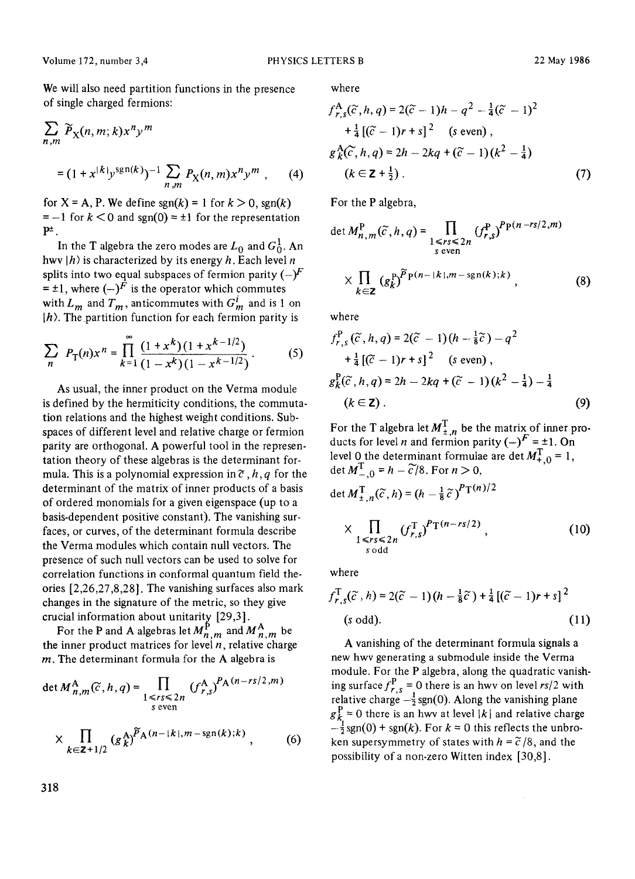We will also need partition functions in the presence of single charged fermions:

$$
\sum_{n,m} \widetilde{P}_X(n,m;k)x^n y^m
$$
  
=  $(1 + x^{|k|} y^{\text{sgn}(k)})^{-1} \sum_{n,m} P_X(n,m)x^n y^m$ , (4)

for  $X = A$ , P. We define sgn(k) = 1 for  $k > 0$ , sgn(k)  $= -1$  for  $k < 0$  and sgn(0) =  $\pm 1$  for the representation  $P^{\pm}$ .

In the T algebra the zero modes are  $L_0$  and  $G_0^1$ . An hwv  $|h\rangle$  is characterized by its energy h. Each level n splits into two equal subspaces of fermion parity  $(-)^F$  $= \pm 1$ , where  $(-)^F$  is the operator which commutes with  $L_m$  and  $T_m$ , anticommutes with  $G_m^i$  and is 1 on  $|h\rangle$ . The partition function for each fermion parity is

$$
\sum_{n} P_{\text{T}}(n)x^{n} = \prod_{k=1}^{\infty} \frac{(1+x^{k})(1+x^{k-1/2})}{(1-x^{k})(1-x^{k-1/2})}.
$$
 (5)

As usual, the inner product on the Verma module is defined by the hermiticity conditions, the commutation relations and the highest weight conditions. Subspaces of different level and relative charge or fermion parity are orthogonal. A powerful tool in the representation theory of these algebras is the determinant formula. This is a polynomial expression in  $\tilde{c}$ , h, q for the determinant of the matrix of inner products of a basis of ordered monomials for a given eigenspace (up to a basis-dependent positive constant). The vanishing surfaces, or curves, of the determinant formula describe the Verma modules which contain null vectors. The presence of such null vectors can be used to solve for correlation functions in conformal quantum field theories [2,26,27,8,28]. The vanishing surfaces also mark changes in the signature of the metric, so they give crucial information about unitarity  $[29,3]$ .

For the P and A algebras let  $M_{n,m}^{\beta}$  and  $M_{n,m}^{\beta}$  be the inner product matrices for level  $n$ , relative charge  $m$ . The determinant formula for the A algebra is

det 
$$
M_{n,m}^{\mathbf{A}}(\tilde{c}, h, q) = \prod_{\substack{1 \le r s \le 2n \\ s \text{ even}}} (f_{r,s}^{\mathbf{A}})^{P_{\mathbf{A}}(n-r s/2, m)}
$$
  
 
$$
\times \prod_{k \in \mathbf{Z} + 1/2} (g_k^{\mathbf{A}})^{\tilde{P}_{\mathbf{A}}(n-|k|, m - sgn(k);k)},
$$
 (6)

where

$$
f_{r,s}^{A}(\tilde{c}, h, q) = 2(\tilde{c} - 1)h - q^{2} - \frac{1}{4}(\tilde{c} - 1)^{2}
$$
  
+
$$
\frac{1}{4} [(\tilde{c} - 1)r + s]^{2} \text{ (s even)},
$$
  

$$
g_{k}^{A}(\tilde{c}, h, q) = 2h - 2kq + (\tilde{c} - 1)(k^{2} - \frac{1}{4})
$$
  

$$
(k \in \mathbf{Z} + \frac{1}{2}).
$$
 (7)

For the P algebra,

$$
\det M_{n,m}^{\text{P}}(\tilde{c},h,q) = \prod_{\substack{1 \le rs \le 2n \\ s \text{ even}}} (f_{r,s}^{\text{P}})^{Pp(n-rs/2,m)} \times \prod_{k \in \mathbb{Z}} (g_k^{\text{P}})^{Pp(n-|k|,m-\text{sgn}(k);k)}, \tag{8}
$$

where

$$
f_{r,s}^{P}(\tilde{c}, h, q) = 2(\tilde{c} - 1)(h - \frac{1}{8}\tilde{c}) - q^{2}
$$
  
+ $\frac{1}{4} [(\tilde{c} - 1)r + s]^{2}$  (s even),  
 $g_{k}^{P}(\tilde{c}, h, q) = 2h - 2kq + (\tilde{c} - 1)(k^{2} - \frac{1}{4}) - \frac{1}{4}$   
( $k \in \mathbf{Z}$ ). (9)

For the T algebra let  $M_{\pm,n}^T$  be the matrix of inner products for level *n* and fermion parity  $(-)^F = \pm 1$ . On level 0 the determinant formulae are det  $M_{+,0}^T = 1$ , det  $M_{-0}^{\mathrm{T}} = h - \widetilde{c}/8$ . For  $n > 0$ ,

$$
\det M_{\pm,n}^{\mathrm{T}}(\widetilde{c},h) = (h - \frac{1}{8}\widetilde{c})^{\mathrm{P}_{\mathrm{T}}(n)/2}
$$
  
 
$$
\times \prod_{\substack{1 \leq r \leq 2n \\ s \text{ odd}}} (f_{r,s}^{\mathrm{T}})^{\mathrm{P}_{\mathrm{T}}(n-rs/2)}, \qquad (10)
$$

where

$$
f_{r,s}^{\mathrm{T}}(\widetilde{c},h) = 2(\widetilde{c}-1)(h-\frac{1}{8}\widetilde{c}) + \frac{1}{4}[(\widetilde{c}-1)r+s]^2
$$
  
(s odd). (11)

A vanishing of the determinant formula signals a new hwv generating a submodule inside the Verma module. For the P algebra, along the quadratic vanishing surface  $f_r^P$ <sub>r</sub> = 0 there is an hwv on level *rs*/2 with relative charge  $-\frac{1}{2}$  sgn(0). Along the vanishing plane  $g_k^F = 0$  there is an hwv at level  $|k|$  and relative charge  $-\frac{1}{2}$ sgn(0) + sgn(k). For  $k = 0$  this reflects the unbroken supersymmetry of states with  $h = \tilde{c}/8$ , and the possibility of a non-zero Witten index [30,8].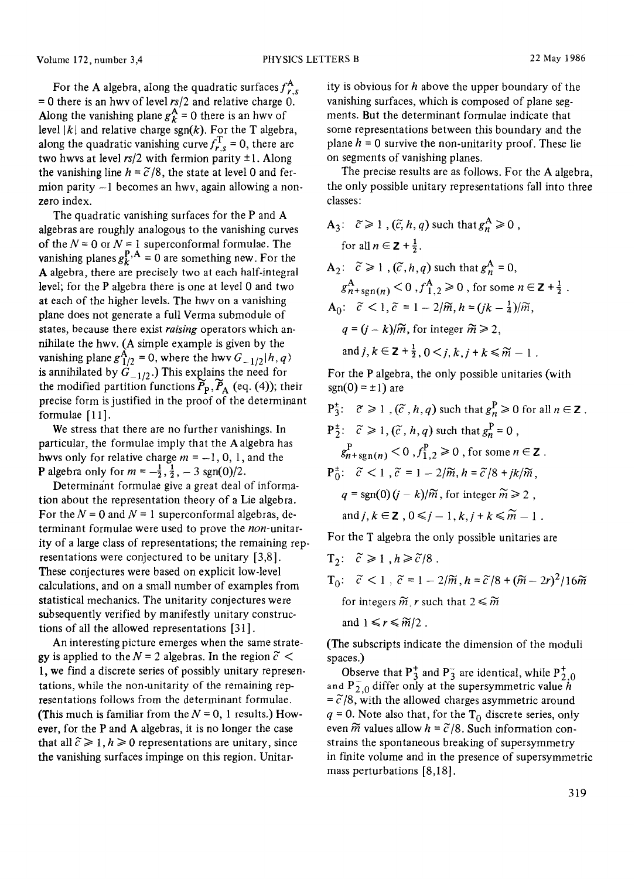For the A algebra, along the quadratic surfaces  $f_{r,s}^A$ = 0 there is an hwv of level *rs/2* and relative charge 0. Along the vanishing plane  $g_k^A = 0$  there is an hwv of level  $|k|$  and relative charge sgn(k). For the T algebra, along the quadratic vanishing curve  $f_{r,s}^T = 0$ , there are two hwvs at level  $rs/2$  with fermion parity  $\pm 1$ . Along the vanishing line  $h = \tilde{c}/8$ , the state at level 0 and fermion parity -1 becomes an hwy, again allowing a nonzero index.

The quadratic vanishing surfaces for the P and A algebras are roughly analogous to the vanishing curves of the  $N = 0$  or  $N = 1$  superconformal formulae. The vanishing planes  $g_k^{P,A} = 0$  are something new. For the A algebra, there are precisely two at each half-integral level; for the P algebra there is one at level 0 and two at each of the higher levels. The hwv on a vanishing plane does not generate a full Verma submodule of states, because there exist *raising* operators which annihilate the hwv. (A simple example is given by the vanishing plane  $g_{1/2}^{\mathbf{A}} = 0$ , where the hwv  $G_{-1/2} |h, q \rangle$ is annihilated by  $G_{-1/2}$ .) This explains the need for the modified partition functions  $\widetilde{P}_{\mathbf{p}}, \widetilde{P}_{\mathbf{A}}$  (eq. (4)); their precise form is justified in the proof of the determinant formulae [11].

We stress that there are no further vanishings. In particular, the formulae imply that the A algebra has hwvs only for relative charge  $m = -1, 0, 1$ , and the **P** algebra only for  $m = -\frac{1}{2}, \frac{1}{2}, -3$  sgn(0)/2.

Determinant formulae give a great deal of information about the representation theory of a Lie algebra. For the  $N = 0$  and  $N = 1$  superconformal algebras, determinant formulae were used to prove the *non-unitar*ity of a large class of representations; the remaining representations were conjectured to be unitary [3,8]. These conjectures were based on explicit low-level calculations, and on a small number of examples from statistical mechanics. The unitarity conjectures were subsequently verified by manifestly unitary constructions of all the allowed representations [31 ].

An interesting picture emerges when the same strategy is applied to the  $N = 2$  algebras. In the region  $\tilde{c}$  < 1, we find a discrete series of possibly unitary representations, while the non-unitarity of the remaining representations follows from the determinant formulae. (This much is familiar from the  $N = 0$ , 1 results.) However, for the P and A algebras, it is no longer the case that all  $\tilde{c} \geq 1$ ,  $h \geq 0$  representations are unitary, since the vanishing surfaces impinge on this region. Unitar-

ity is obvious for  $h$  above the upper boundary of the vanishing surfaces, which is composed of plane segments. But the determinant formulae indicate that some representations between this boundary and the plane  $h = 0$  survive the non-unitarity proof. These lie on segments of vanishing planes.

The precise results are as follows. For the A algebra, the only possible unitary representations fall into three classes:

A<sub>3</sub>: 
$$
\tilde{c} \ge 1
$$
,  $(\tilde{c}, h, q)$  such that  $g_n^A \ge 0$ ,  
\nfor all  $n \in \mathbb{Z} + \frac{1}{2}$ .  
\nA<sub>2</sub>:  $\tilde{c} \ge 1$ ,  $(\tilde{c}, h, q)$  such that  $g_n^A = 0$ ,  
\n $g_{n+sgn(n)}^A < 0$ ,  $f_{1,2}^A \ge 0$ , for some  $n \in \mathbb{Z} + \frac{1}{2}$ .  
\nA<sub>0</sub>:  $\tilde{c} < 1$ ,  $\tilde{c} = 1 - 2/\tilde{m}$ ,  $h = (jk - \frac{1}{4})/\tilde{m}$ ,  
\n $q = (j - k)/\tilde{m}$ , for integer  $\tilde{m} \ge 2$ ,

and 
$$
j, k \in \mathbf{Z} + \frac{1}{2}, 0 < j, k, j + k \leq \widetilde{m} - 1
$$
.

For the P algebra, the only possible unitaries (with  $sgn(0) = \pm 1$ ) are

P<sub>3</sub>: 
$$
\tilde{c} \ge 1
$$
,  $(\tilde{c}, h, q)$  such that  $g_n^P \ge 0$  for all  $n \in \mathbb{Z}$ .  
\nP<sub>2</sub><sup>+</sup>:  $\tilde{c} \ge 1$ ,  $(\tilde{c}, h, q)$  such that  $g_n^P = 0$ ,  
\n $g_{n+sgn(n)}^P < 0$ ,  $f_{1,2}^P \ge 0$ , for some  $n \in \mathbb{Z}$ .  
\nP<sub>0</sub><sup>+</sup>:  $\tilde{c} < 1$ ,  $\tilde{c} = 1 - 2/\tilde{m}$ ,  $h = \tilde{c}/8 + jk/\tilde{m}$ ,  
\n $q = sgn(0)(j - k)/\tilde{m}$ , for integer  $\tilde{m} \ge 2$ ,  
\nand  $j, k \in \mathbb{Z}$ ,  $0 \le j - 1, k, j + k \le \tilde{m} - 1$ .

For the T algebra the only possible unitaries are

T<sub>2</sub>: 
$$
\tilde{c} \ge 1
$$
,  $h \ge \tilde{c}/8$ .  
\nT<sub>0</sub>:  $\tilde{c} < 1$ ,  $\tilde{c} = 1 - 2/\tilde{m}$ ,  $h = \tilde{c}/8 + (\tilde{m} - 2r)^2/16\tilde{m}$   
\nfor integers  $\tilde{m}$ ,  $r$  such that  $2 \le \tilde{m}$   
\nand  $1 \le r \le \tilde{m}/2$ .

(The subscripts indicate the dimension of the moduli spaces.)

Observe that  $P_3^+$  and  $P_3^-$  are identical, while  $P_{2,0}^+$ and  $P_{2,0}^-$  differ only at the supersymmetric value h  $= \tilde{c}/8$ , with the allowed charges asymmetric around  $q = 0$ . Note also that, for the T<sub>0</sub> discrete series, only even  $\widetilde{m}$  values allow  $h = \widetilde{c}/8$ . Such information constrains the spontaneous breaking of supersymmetry in finite volume and in the presence of supersymmetric mass perturbations [8,18].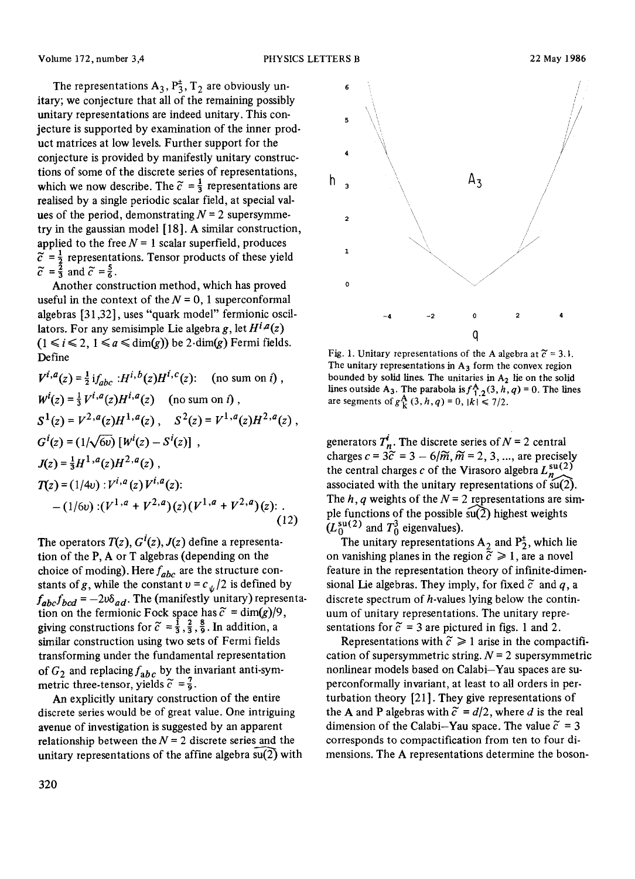The representations  $A_3$ ,  $P_3^{\pm}$ ,  $T_2$  are obviously unitary; we conjecture that all of the remaining possibly unitary representations are indeed unitary. This conjecture is supported by examination of the inner product matrices at low levels. Further support for the conjecture is provided by manifestly unitary constructions of some of the discrete series of representations, which we now describe. The  $\tilde{c} = \frac{1}{3}$  representations are realised by a single periodic scalar field, at special values of the period, demonstrating  $N = 2$  supersymmetry in the gaussian model [18]. A similar construction, applied to the free  $N = 1$  scalar superfield, produces  $=\frac{1}{2}$  representations. Tensor products of these yield  $\tilde{c} = \frac{2}{3}$  and  $\tilde{c} = \frac{5}{6}$ .

Another construction method, which has proved useful in the context of the  $N = 0$ , 1 superconformal algebras [31,32], uses "quark model" fermionic oscillators. For any semisimple Lie algebra g, let  $H^{i,a}(z)$  $(1 \le i \le 2, 1 \le a \le \dim(g))$  be 2-dim $(g)$  Fermi fields. Define

$$
V^{i,a}(z) = \frac{1}{2} if_{abc} : H^{i,b}(z)H^{i,c}(z): \text{ (no sum on } i),
$$
  
\n
$$
W^{i}(z) = \frac{1}{3} V^{i,a}(z)H^{i,a}(z) \text{ (no sum on } i),
$$
  
\n
$$
S^{1}(z) = V^{2,a}(z)H^{1,a}(z), S^{2}(z) = V^{1,a}(z)H^{2,a}(z),
$$
  
\n
$$
G^{i}(z) = (1/\sqrt{6\nu}) [W^{i}(z) - S^{i}(z)],
$$
  
\n
$$
J(z) = \frac{1}{3}H^{1,a}(z)H^{2,a}(z),
$$
  
\n
$$
T(z) = (1/4\nu) : V^{i,a}(z) V^{i,a}(z):
$$
  
\n
$$
- (1/6\nu) : (V^{1,a} + V^{2,a})(z) (V^{1,a} + V^{2,a})(z): .
$$
  
\n(12)

The operators  $T(z)$ ,  $G^{i}(z)$ ,  $J(z)$  define a representation of the P, A or T algebras (depending on the choice of moding). Here *fabe* are the structure constants of g, while the constant  $v = c_{\psi}/2$  is defined by  $f_{abc}f_{bcd} = -2\upsilon \delta_{ad}$ . The (manifestly unitary) representation on the fermionic Fock space has  $\tilde{c} = \dim(g)/9$ , giving constructions for  $\tilde{c} = \frac{1}{3}, \frac{2}{3}, \frac{8}{9}$ . In addition, a similar construction using two sets of Fermi fields transforming under the fundamental representation of  $G_2$  and replacing  $f_{abc}$  by the invariant anti-symmetric three-tensor, yields  $\bar{c} = \frac{1}{9}$ .

An explicitly unitary construction of the entire discrete series would be of great value. One intriguing avenue of investigation is suggested by an apparent relationship between the  $N = 2$  discrete series and the unitary representations of the affine algebra  $\overline{\text{su}(2)}$  with



Fig. 1. Unitary representations of the A algebra at  $\tilde{c} = 3.1$ . The unitary representations in  $A_3$  form the convex region bounded by solid lines. The unitaries in  $A_2$  lie on the solid lines outside A<sub>3</sub>. The parabola is  $f_{12}^{A}(3, h, q) = 0$ . The lines are segments of  $g^{\mathbf{A}}_k(3, h, q) = 0$ ,  $|k| \le 7/2$ .

generators  $T_n$ . The discrete series of  $N = 2$  central charges  $c = 3\tilde{c} = 3 - 6/\tilde{m}, \tilde{m} = 2, 3, ...,$  are precisely the central charges c of the Virasoro algebra  $L_n^{\text{su}(2)}$ associated with the unitary representations of  $\frac{\sin(2)}{\sin(2)}$ . The h, q weights of the  $N = 2$  representations are simple functions of the possible  $\widehat{su(2)}$  highest weights  $(L_0^{\text{su}(2)}$  and  $T_0^3$  eigenvalues).

The unitary representations  $A_2$  and  $P_2^{\pm}$ , which lie on vanishing planes in the region  $\tilde{c} \ge 1$ , are a novel feature in the representation theory of infinite-dimensional Lie algebras. They imply, for fixed  $\tilde{c}$  and q, a discrete spectrum of  $h$ -values lying below the continuum of unitary representations. The unitary representations for  $\tilde{c} = 3$  are pictured in figs. 1 and 2.

Representations with  $\tilde{c} \geq 1$  arise in the compactification of supersymmetric string.  $N = 2$  supersymmetric nonlinear models based on Calabi-Yau spaces are superconformally invariant, at least to all orders in perturbation theory [21 ]. They give representations of the A and P algebras with  $\tilde{c} = d/2$ , where d is the real dimension of the Calabi-Yau space. The value  $\tilde{c} = 3$ corresponds to compactification from ten to four dimensions. The A representations determine the boson-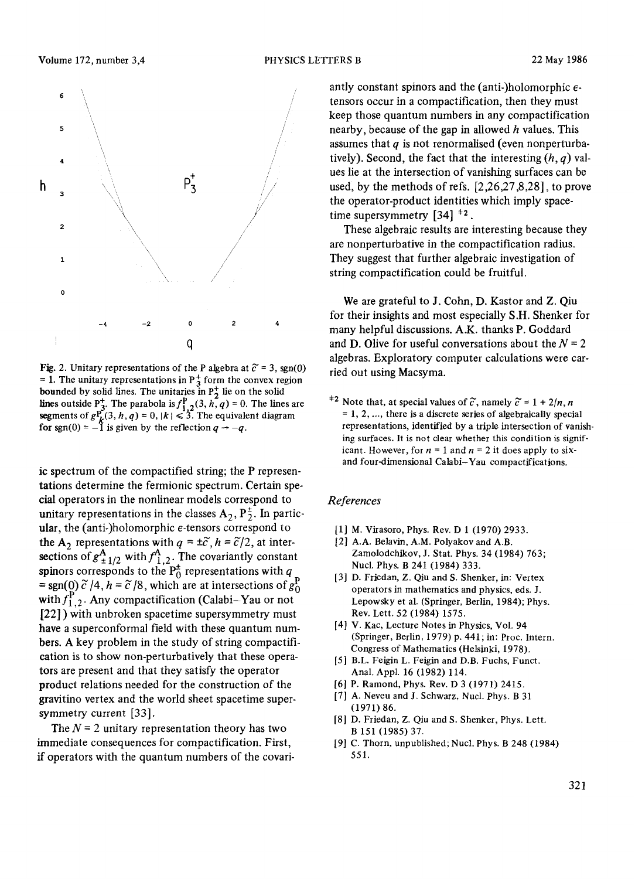

Fig. 2. Unitary representations of the P algebra at  $\tilde{c} = 3$ , sgn(0) = 1. The unitary representations in  $P_3^+$  form the convex region bounded by solid lines. The unitaries in  $P_2^+$  lie on the solid lines outside P<sup>+</sup><sub>3</sub>. The parabola is  $f_{1,2}^{\mathbf{F}}(3, h, q) = 0$ . The lines are segments of  $g_{\mathbf{L}}^{\mathbf{p}}(3, h, q) = 0$ ,  $|k| \leq 3$ . The equivalent diagram for sgn(0) =  $-1$  is given by the reflection  $q \rightarrow -q$ .

ic spectrum of the compactified string; the P representations determine the fermionic spectrum. Certain special operators in the nonlinear models correspond to unitary representations in the classes  $A_2$ ,  $P_2^{\pm}$ . In particular, the (anti-)holomorphic  $\epsilon$ -tensors correspond to the A<sub>2</sub> representations with  $q = \pm \tilde{c}$ ,  $h = \tilde{c}/2$ , at intersections of  $g^A_{\pm 1/2}$  with  $f^A_{1,2}$ . The covariantly constant spinors corresponds to the  $P_0^{\pm}$  representations with q = sgn(0)  $\tilde{c}$  /4, h =  $\tilde{c}$  /8, which are at intersections of  $g_0^{\rm P}$ with  $f_{1,2}^P$ . Any compactification (Calabi-Yau or not [22]) with unbroken spacetime supersymmetry must have a superconformal field with these quantum numbers. A key problem in the study of string compactification is to show non-perturbatively that these operators are present and that they satisfy the operator product relations needed for the construction of the gravitino vertex and the world sheet spacetime supersymmetry current [33].

The  $N = 2$  unitary representation theory has two immediate consequences for compactification. First, if operators with the quantum numbers of the covariantly constant spinors and the (anti-)holomorphic  $\epsilon$ tensors occur in a compactification, then they must keep those quantum numbers in any compactification nearby, because of the gap in allowed  $h$  values. This assumes that  $q$  is not renormalised (even nonperturbatively). Second, the fact that the interesting  $(h, q)$  values lie at the intersection of vanishing surfaces can be used, by the methods of refs. [2,26,27,8,28], to prove the operator-product identities which imply spacetime supersymmetry  $\left[34\right]$ <sup> $\pm 2$ </sup>.

These algebraic results are interesting because they are nonperturbative in the compactification radius. They suggest that further algebraic investigation of string compactification could be fruitful.

We are grateful to J. Cohn, D. Kastor and Z. Qiu for their insights and most especially S.H. Shenker for many helpful discussions. A.K. thanks P. Goddard and D. Olive for useful conversations about the  $N = 2$ algebras. Exploratory computer calculations were carried out using Macsyma.

<sup>+2</sup> Note that, at special values of  $\tilde{c}$ , namely  $\tilde{c} = 1 + 2/n$ , *n* **= 1, 2** ..... there is a discrete series of algebraically special representations, identified by a triple intersection of vanishing surfaces. It is not clear whether this condition is significant. However, for  $n = 1$  and  $n = 2$  it does apply to sixand four-dimensional Calabi-Yau compactifications.

## *References*

- [1] M. Virasoro, Phys. Rev. D 1 (1970) 2933.
- [2] A.A. Belavin, A.M. Polyakov and A.B. Zamolodchikov, J. Stat. Phys. 34 (1984) 763; Nucl. Phys. B 241 (1984) 333.
- [3] D. Friedan, Z. Qiu and S. Shenker, in: Vertex operators in mathematics and physics, eds. J. Lepowsky et al. (Springer, Berlin, 1984); Phys. Rev. Lett. 52 (1984) 1575.
- [4] V. Kac, Lecture Notes in Physics, Vol. 94 (Springer, Berlin, 1979) p. 441; in: Proc. Intern. Congress of Mathematics (Helsinki, 1978).
- [5] B.L. Feigin L. Feigin and D.B. Fuchs, Funct. Anal. Appl. 16 (1982) 114.
- [6] P. Ramond, Phys. Rev. D 3 (1971) 2415.
- [7] A. Neveu and J. Schwarz, Nucl. Phys. B 31 (1971) 86.
- [8] D. Friedan, Z. Qiu and S. Shenker, Phys. Lett. B 151 (1985) 37.
- [9] C. Thorn, unpublished; Nucl. Phys. B 248 (1984) 551.